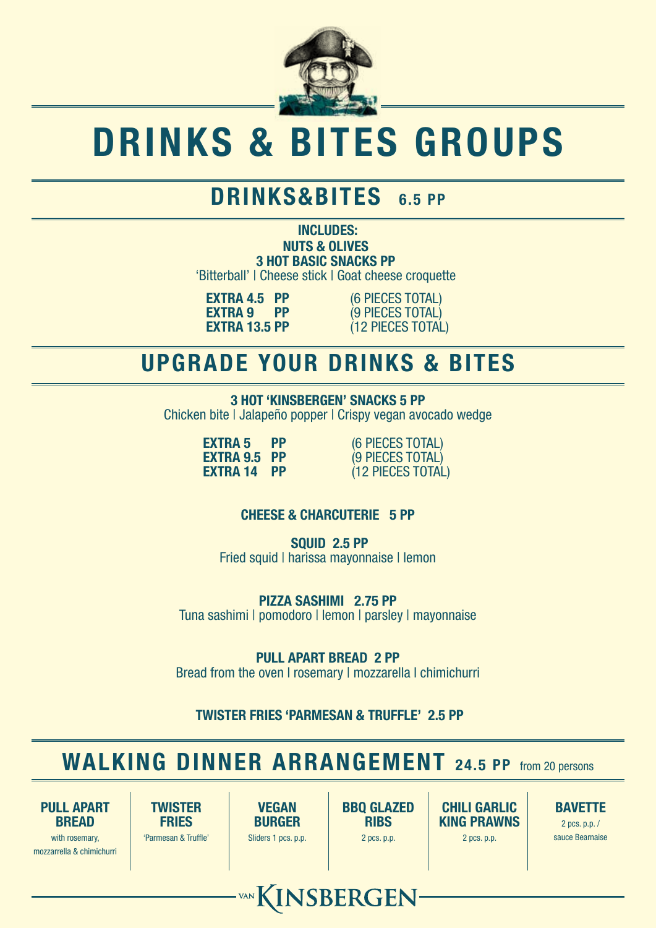

# DRINKS & BITES GROUPS

## DRINKS&BITES 6.5 PP

NUTS & OLIVES 3 HOT BASIC SNACKS PP 'Bitterball' | Cheese stick | Goat cheese croquette INCLUDES:

**EXTRA 4.5 PP** (6 PIECES TOTAL)<br> **EXTRA 9 PP** (9 PIECES TOTAL) **EXTRA 9 PP** (9 PIECES TOTAL)<br>**EXTRA 13.5 PP** (12 PIECES TOTAL) (12 PIECES TOTAL)

#### UPGRADE YOUR DRINKS & BITES

3 HOT 'KINSBERGEN' SNACKS 5 PP Chicken bite | Jalapeño popper | Crispy vegan avocado wedge

**EXTRA 5 PP** (6 PIECES TOTAL)<br> **EXTRA 9.5 PP** (9 PIECES TOTAL) **EXTRA 9.5 PP** (9 PIECES TOTAL)<br>**EXTRA 14 PP** (12 PIECES TOTAL)  $(12$  PIECES TOTAL)

#### CHEESE & CHARCUTERIE 5 PP

 SQUID 2.5 PP Fried squid | harissa mayonnaise | lemon

PIZZA SASHIMI 2.75 PP Tuna sashimi | pomodoro | lemon | parsley | mayonnaise

PULL APART BREAD 2 PP Bread from the oven I rosemary I mozzarella I chimichurri

TWISTER FRIES 'PARMESAN & TRUFFLE' 2.5 PP

## WALKING DINNER ARRANGEMENT 24.5 PP from 20 persons

VAN KINSBERGEN

PULL APART **BREAD** 

with rosemary, mozzarrella & chimichurri

**TWISTER FRIES** 'Parmesan & Truffle'

VEGAN BURGER Sliders 1 pcs. p.p.

BBQ GLAZED **RIBS** 2 pcs. p.p.

CHILI GARLIC KING PRAWNS 2 pcs. p.p.

#### BAVETTE

2 pcs. p.p. / sauce Bearnaise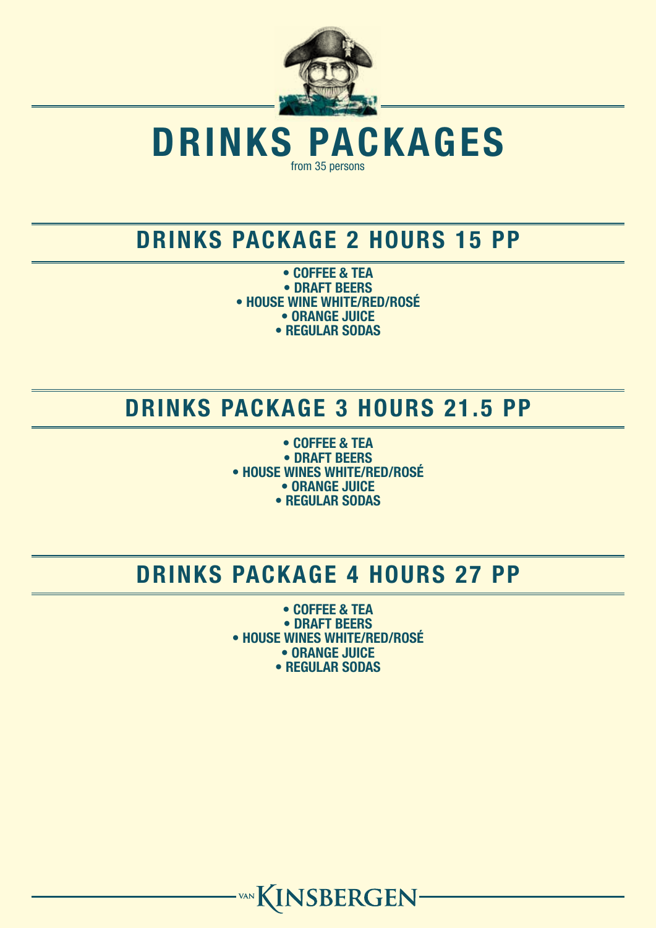

DRINKS PACKAGES from 35 persons

#### DRINKS PACKAGE 2 HOURS 15 PP

• COFFEE & TEA • DRAFT BEERS • HOUSE WINE WHITE/RED/ROSÉ • ORANGE JUICE • REGULAR SODAS

## DRINKS PACKAGE 3 HOURS 21.5 PP

• COFFEE & TEA • DRAFT BEERS • HOUSE WINES WHITE/RED/ROSÉ • ORANGE JUICE • REGULAR SODAS

## DRINKS PACKAGE 4 HOURS 27 PP

• COFFEE & TEA • DRAFT BEERS • HOUSE WINES WHITE/RED/ROSÉ • ORANGE JUICE • REGULAR SODAS